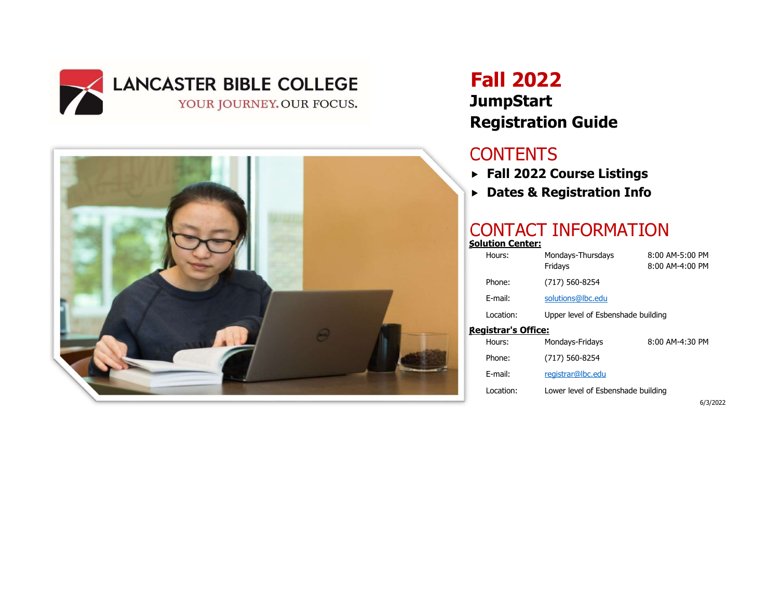



# Fall 2022 **JumpStart** Registration Guide

## **CONTENTS**

- Fall 2022 Course Listings
- Dates & Registration Info

### CONTACT INFORMATION Solution Center:

| olution center:    |                                    |                                        |  |  |
|--------------------|------------------------------------|----------------------------------------|--|--|
| Hours:             | Mondays-Thursdays<br>Fridays       | $8:00$ AM-5:00 PM<br>$8:00$ AM-4:00 PM |  |  |
| Phone:             | (717) 560-8254                     |                                        |  |  |
| F-mail:            | solutions@lbc.edu                  |                                        |  |  |
| Location:          | Upper level of Esbenshade building |                                        |  |  |
| eaistrar's Office: |                                    |                                        |  |  |
| Hours:             | Mondays-Fridays                    | 8:00 AM-4:30 PM                        |  |  |
| Phone:             | (717) 560-8254                     |                                        |  |  |
| F-mail:            | registrar@lbc.edu                  |                                        |  |  |
| Location:          | Lower level of Esbenshade building |                                        |  |  |

6/3/2022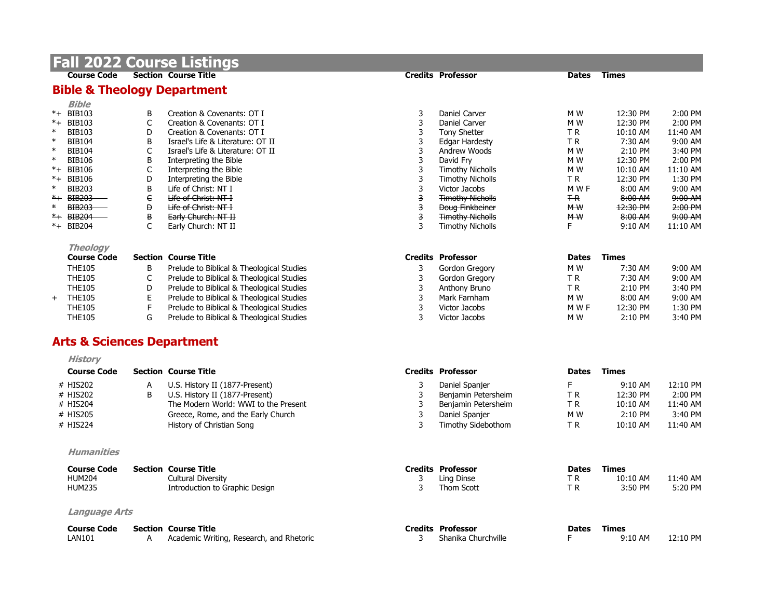|                 | <b>Fall 2022</b>                       |             | <b>Course Listings</b>                       |        |                                          |                    |                    |                    |
|-----------------|----------------------------------------|-------------|----------------------------------------------|--------|------------------------------------------|--------------------|--------------------|--------------------|
|                 | <b>Course Code</b>                     |             | <b>Section Course Title</b>                  |        | <b>Credits Professor</b>                 | Dates              | <b>Times</b>       |                    |
|                 | <b>Bible &amp; Theology Department</b> |             |                                              |        |                                          |                    |                    |                    |
|                 | <b>Bible</b>                           |             |                                              |        |                                          |                    |                    |                    |
|                 | *+ BIB103                              | B           | Creation & Covenants: OT I                   | 3      | Daniel Carver                            | M <sub>W</sub>     | 12:30 PM           | 2:00 PM            |
|                 | *+ BIB103                              | $\mathsf C$ | Creation & Covenants: OT I                   | 3      | Daniel Carver                            | M W                | 12:30 PM           | 2:00 PM            |
| $\ast$          | <b>BIB103</b>                          | D           | Creation & Covenants: OT I                   | 3      | <b>Tony Shetter</b>                      | TR.                | 10:10 AM           | 11:40 AM           |
| $\ast$          | <b>BIB104</b>                          | B           | Israel's Life & Literature: OT II            | 3      | <b>Edgar Hardesty</b>                    | TR.                | 7:30 AM            | 9:00 AM            |
| $\ast$          | <b>BIB104</b>                          | C           | Israel's Life & Literature: OT II            | 3      | Andrew Woods                             | M <sub>W</sub>     | 2:10 PM            | 3:40 PM            |
| $\ast$          | <b>BIB106</b>                          | B           | Interpreting the Bible                       | 3      | David Frv                                | M W                | 12:30 PM           | 2:00 PM            |
|                 | *+ BIB106                              | $\mathsf C$ | Interpreting the Bible                       | 3      | <b>Timothy Nicholls</b>                  | M W                | 10:10 AM           | 11:10 AM           |
| $*$ +<br>$\ast$ | <b>BIB106</b>                          | D           | Interpreting the Bible                       | 3      | <b>Timothy Nicholls</b>                  | TR.                | 12:30 PM           | 1:30 PM            |
| $*$ +           | <b>BIB203</b><br><b>BIB203</b>         | B<br>e      | Life of Christ: NT I<br>Life of Christ: NT I | 3<br>3 | Victor Jacobs<br><b>Timothy Nicholls</b> | M W F<br><b>TR</b> | 8:00 AM<br>8:00 AM | 9:00 AM<br>9:00 AM |
| *               | <b>BIB203</b>                          | Đ           | Life of Christ: NT I                         | З      | <b>Doug Finkbeiner</b>                   | M W                | 12:30 PM           | 2:00 PM            |
|                 | *+ BIB204                              | B           | Early Church: NT II                          | 3      | <b>Timothy Nicholls</b>                  | <b>MW</b>          | 8:00 AM            | 9:00 AM            |
|                 | *+ BIB204                              | C           | Early Church: NT II                          | 3      | <b>Timothy Nicholls</b>                  | F                  | $9:10$ AM          | $11:10$ AM         |
|                 | <b>Theology</b>                        |             |                                              |        |                                          |                    |                    |                    |
|                 | <b>Course Code</b>                     |             | <b>Section Course Title</b>                  |        | <b>Credits Professor</b>                 | <b>Dates</b>       | <b>Times</b>       |                    |
|                 | <b>THE105</b>                          | В           | Prelude to Biblical & Theological Studies    | 3      | Gordon Gregory                           | M W                | 7:30 AM            | 9:00 AM            |
|                 | <b>THE105</b>                          | $\mathsf C$ | Prelude to Biblical & Theological Studies    | 3      | Gordon Gregory                           | TR.                | 7:30 AM            | 9:00 AM            |
|                 | <b>THE105</b>                          | D           | Prelude to Biblical & Theological Studies    | 3      | Anthony Bruno                            | TR.                | 2:10 PM            | 3:40 PM            |
| $+$             | <b>THE105</b>                          | E           | Prelude to Biblical & Theological Studies    | 3      | Mark Farnham                             | M W                | 8:00 AM            | 9:00 AM            |
|                 | <b>THE105</b>                          | F           | Prelude to Biblical & Theological Studies    | 3      | Victor Jacobs                            | M W F              | 12:30 PM           | 1:30 PM            |
|                 | <b>THE105</b>                          | G           | Prelude to Biblical & Theological Studies    | 3      | Victor Jacobs                            | M W                | 2:10 PM            | 3:40 PM            |
|                 | <b>Arts &amp; Sciences Department</b>  |             |                                              |        |                                          |                    |                    |                    |
|                 | <b>History</b>                         |             |                                              |        |                                          |                    |                    |                    |
|                 | <b>Course Code</b>                     |             | <b>Section Course Title</b>                  |        | <b>Credits Professor</b>                 | <b>Dates</b>       | <b>Times</b>       |                    |
|                 | # HIS202                               | Α           | U.S. History II (1877-Present)               | 3      | Daniel Spanjer                           | F                  | 9:10 AM            | 12:10 PM           |
|                 | # HIS202                               | B           | U.S. History II (1877-Present)               | 3      | Benjamin Petersheim                      | TR.                | 12:30 PM           | $2:00$ PM          |
|                 | # HIS204                               |             | The Modern World: WWI to the Present         | 3      | Benjamin Petersheim                      | TR.                | 10:10 AM           | 11:40 AM           |
|                 | # HIS205                               |             | Greece, Rome, and the Early Church           | 3      | Daniel Spanjer                           | M <sub>W</sub>     | 2:10 PM            | 3:40 PM            |
|                 | # HIS224                               |             | History of Christian Song                    | 3      | Timothy Sidebothom                       | TR.                | 10:10 AM           | 11:40 AM           |
|                 | <b>Humanities</b>                      |             |                                              |        |                                          |                    |                    |                    |
|                 | <b>Course Code</b>                     |             | <b>Section Course Title</b>                  |        | <b>Credits Professor</b>                 | <b>Dates</b>       | <b>Times</b>       |                    |
|                 | <b>HUM204</b>                          |             | <b>Cultural Diversity</b>                    | 3      | Ling Dinse                               | ΤR                 | 10:10 AM           | 11:40 AM           |
|                 | <b>HUM235</b>                          |             | Introduction to Graphic Design               | 3      | Thom Scott                               | TR.                | 3:50 PM            | 5:20 PM            |
|                 | <b>Language Arts</b>                   |             |                                              |        |                                          |                    |                    |                    |
|                 | <b>Course Code</b>                     |             | <b>Section Course Title</b>                  |        | <b>Credits Professor</b>                 | <b>Dates</b>       | <b>Times</b>       |                    |
|                 | <b>LAN101</b>                          | Α           | Academic Writing, Research, and Rhetoric     | 3      | Shanika Churchville                      | F                  | 9:10 AM            | 12:10 PM           |
|                 |                                        |             |                                              |        |                                          |                    |                    |                    |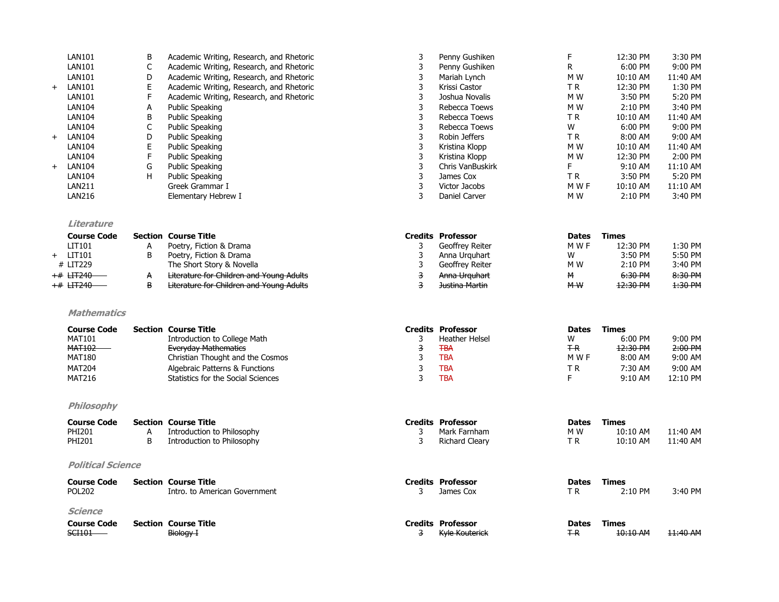|     | <b>Science</b><br><b>Course Code</b><br><b>SCI101</b> |                   | <b>Section Course Title</b><br>Biology I                                             | 3      | <b>Credits Professor</b><br><b>Kyle Kouterick</b> | <b>Dates</b><br>$+R$ | <b>Times</b><br>10:10 AM | 11:40 AM             |
|-----|-------------------------------------------------------|-------------------|--------------------------------------------------------------------------------------|--------|---------------------------------------------------|----------------------|--------------------------|----------------------|
|     | <b>Course Code</b><br><b>POL202</b>                   |                   | <b>Section Course Title</b><br>Intro. to American Government                         | 3      | <b>Credits Professor</b><br>James Cox             | <b>Dates</b><br>TR.  | Times<br>2:10 PM         | 3:40 PM              |
|     | <b>Political Science</b>                              |                   |                                                                                      |        |                                                   |                      |                          |                      |
|     | <b>PHI201</b><br><b>PHI201</b>                        | А<br>B            | Introduction to Philosophy<br>Introduction to Philosophy                             | 3<br>3 | Mark Farnham<br><b>Richard Cleary</b>             | M W<br>TR.           | 10:10 AM<br>$10:10$ AM   | 11:40 AM<br>11:40 AM |
|     | <b>Course Code</b>                                    |                   | <b>Section Course Title</b>                                                          |        | <b>Credits Professor</b>                          | <b>Dates</b>         | Times                    |                      |
|     | Philosophy                                            |                   |                                                                                      |        |                                                   |                      |                          |                      |
|     | <b>MAT216</b>                                         |                   | Statistics for the Social Sciences                                                   | 3      | <b>TBA</b>                                        | F.                   | 9:10 AM                  | 12:10 PM             |
|     | <b>MAT204</b>                                         |                   | Algebraic Patterns & Functions                                                       | 3      | <b>TBA</b>                                        | TR                   | 7:30 AM                  | 9:00 AM              |
|     | <b>MAT102</b><br><b>MAT180</b>                        |                   | <b>Everyday Mathematics</b><br>Christian Thought and the Cosmos                      | 3<br>3 | <b>TBA</b><br><b>TBA</b>                          | <b>T-R</b><br>M W F  | 12:30 PM<br>8:00 AM      | 2:00 P M<br>9:00 AM  |
|     | <b>MAT101</b>                                         |                   | Introduction to College Math                                                         | 3      | <b>Heather Helsel</b>                             | W                    | 6:00 PM                  | 9:00 PM              |
|     | <b>Mathematics</b><br><b>Course Code</b>              |                   | <b>Section Course Title</b>                                                          |        | <b>Credits Professor</b>                          | <b>Dates</b>         | <b>Times</b>             |                      |
|     | +# HT240                                              | B                 | <b>Literature for Children and Young Adults</b>                                      | 3      | <b>Justina Martin</b>                             | M W                  | 12:30 PM                 | 1:30 PM              |
|     | <del>+#</del> <del>LIT240</del>                       | A                 | Literature for Children and Young Adults                                             | 3      | Anna Urguhart                                     | м                    | 6:30 PM                  | 8:30 PM              |
| $+$ | LIT101<br># LIT229                                    | B                 | Poetry, Fiction & Drama<br>The Short Story & Novella                                 | 3<br>3 | Anna Urguhart<br>Geoffrey Reiter                  | W<br>M W             | 3:50 PM<br>2:10 PM       | 5:50 PM<br>3:40 PM   |
|     | LIT101                                                | Α                 | Poetry, Fiction & Drama                                                              | 3      | Geoffrey Reiter                                   | M W F                | 12:30 PM                 | 1:30 PM              |
|     | Literature<br><b>Course Code</b>                      |                   | <b>Section Course Title</b>                                                          |        | <b>Credits Professor</b>                          | <b>Dates</b>         | <b>Times</b>             |                      |
|     | <b>LAN216</b>                                         |                   | Elementary Hebrew I                                                                  | 3      | Daniel Carver                                     | M W                  | 2:10 PM                  | 3:40 PM              |
|     | <b>LAN104</b><br><b>LAN211</b>                        |                   | <b>Public Speaking</b><br>Greek Grammar I                                            | 3<br>3 | James Cox<br>Victor Jacobs                        | TR.<br>M W F         | 3:50 PM<br>10:10 AM      | 11:10 AM             |
| $+$ | <b>LAN104</b>                                         | G<br>H            | <b>Public Speaking</b>                                                               | 3      | Chris VanBuskirk                                  | F.                   | 9:10 AM                  | 11:10 AM<br>5:20 PM  |
|     | <b>LAN104</b>                                         | $\mathsf F$       | <b>Public Speaking</b>                                                               | 3      | Kristina Klopp                                    | M W                  | 12:30 PM                 | 2:00 PM              |
|     | <b>LAN104</b>                                         | E                 | <b>Public Speaking</b>                                                               | 3      | Kristina Klopp                                    | M W                  | 10:10 AM                 | 11:40 AM             |
| $+$ | <b>LAN104</b>                                         | D                 | <b>Public Speaking</b>                                                               | 3      | Robin Jeffers                                     | TR.                  | 8:00 AM                  | 9:00 AM              |
|     | <b>LAN104</b><br><b>LAN104</b>                        | В<br>$\mathsf{C}$ | <b>Public Speaking</b><br><b>Public Speaking</b>                                     | 3<br>3 | Rebecca Toews<br>Rebecca Toews                    | TR.<br>W             | 10:10 AM<br>6:00 PM      | 11:40 AM<br>9:00 PM  |
|     | <b>LAN104</b>                                         | А                 | <b>Public Speaking</b>                                                               | 3      | Rebecca Toews                                     | M W                  | 2:10 PM                  | 3:40 PM              |
|     | <b>LAN101</b>                                         | F                 | Academic Writing, Research, and Rhetoric                                             | 3      | Joshua Novalis                                    | M W                  | 3:50 PM                  | 5:20 PM              |
| $+$ | <b>LAN101</b>                                         | E                 | Academic Writing, Research, and Rhetoric                                             | 3      | Krissi Castor                                     | ΤR                   | 12:30 PM                 | 1:30 PM              |
|     | <b>LAN101</b>                                         | D                 | Academic Writing, Research, and Rhetoric                                             | 3      | Mariah Lynch                                      | M W                  | 10:10 AM                 | 11:40 AM             |
|     | <b>LAN101</b><br><b>LAN101</b>                        | B<br>C            | Academic Writing, Research, and Rhetoric<br>Academic Writing, Research, and Rhetoric | 3<br>3 | Penny Gushiken<br>Penny Gushiken                  | F<br>R               | 12:30 PM<br>6:00 PM      | 3:30 PM<br>9:00 PM   |
|     |                                                       |                   |                                                                                      |        |                                                   |                      |                          |                      |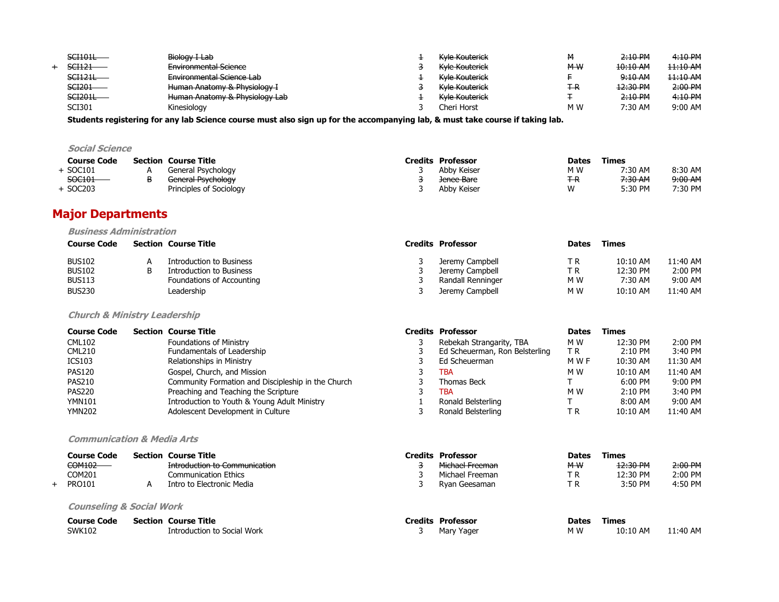| <b>SCH01L</b>     | Biology I Lab                                                                    | Kyle Kouterick | м   | 2:10 P M | 4:10 PM  |
|-------------------|----------------------------------------------------------------------------------|----------------|-----|----------|----------|
| SCH <sub>21</sub> | <b>Environmental Science</b>                                                     | Kyle Kouterick | M W | 10:10 AM | 11:10 AM |
| SCI121L           | Environmental Science Lab                                                        | Kyle Kouterick |     | 9:10 A M | 11:10 AM |
| $SCI201 -$        | Human Anatomy & Physiology I                                                     | Kyle Kouterick | Ŧ-R | 12:30 PM | 2:00 PM  |
| $SCI201L -$       | Human Anatomy 8. Dhyciology Lah<br><del>numan Anatomy &amp; Miysiology Lab</del> | Kyle Kouterick |     | 2:10 P M | 4:10 PM  |
| SCI301            | Kinesiology                                                                      | Cheri Horst    | M W | 7:30 AM  | 9:00 AM  |

Students registering for any lab Science course must also sign up for the accompanying lab, & must take course if taking lab.

### Social Science

| <b>Course Code</b> | <b>Section Course Title</b> | <b>Credits Professor</b> | <b>Dates</b> | Times   |         |
|--------------------|-----------------------------|--------------------------|--------------|---------|---------|
| SOC101             | General Psychology          | Abby Keiser              | M W          | 7:30 AM | 8:30 AM |
| SOC101             | General Psychology          | Jenee Bare               | #R           | 7:30 AM | 9:00 AM |
| SOC203             | Principles of Sociology     | Abby Keiser              | W            | 5:30 PM | 7:30 PM |

### Major Departments

#### Business Administration

| <b>Course Code</b> | <b>Section Course Title</b> | <b>Credits Professor</b> | <b>Dates</b> | Times      |          |
|--------------------|-----------------------------|--------------------------|--------------|------------|----------|
| <b>BUS102</b>      | Introduction to Business    | Jeremy Campbell          | T R          | $10:10$ AM | 11:40 AM |
| <b>BUS102</b>      | Introduction to Business    | Jeremy Campbell          | T R          | 12:30 PM   | 2:00 PM  |
| <b>BUS113</b>      | Foundations of Accounting   | Randall Renninger        | M W          | 7:30 AM    | 9:00 AM  |
| <b>BUS230</b>      | Leadership                  | Jeremy Campbell          | M W          | $10:10$ AM | 11:40 AM |

#### Church & Ministry Leadership

| <b>Course Code</b> | <b>Section Course Title</b>                        | <b>Credits Professor</b>       | <b>Dates</b> | Times      |          |
|--------------------|----------------------------------------------------|--------------------------------|--------------|------------|----------|
| <b>CML102</b>      | <b>Foundations of Ministry</b>                     | Rebekah Strangarity, TBA       | M W          | 12:30 PM   | 2:00 PM  |
| <b>CML210</b>      | Fundamentals of Leadership                         | Ed Scheuerman, Ron Belsterling | T R          | $2:10$ PM  | 3:40 PM  |
| ICS103             | Relationships in Ministry                          | Ed Scheuerman                  | M W F        | 10:30 AM   | 11:30 AM |
| <b>PAS120</b>      | Gospel, Church, and Mission                        | TBA                            | M W          | 10:10 AM   | 11:40 AM |
| <b>PAS210</b>      | Community Formation and Discipleship in the Church | Thomas Beck                    |              | $6:00$ PM  | 9:00 PM  |
| <b>PAS220</b>      | Preaching and Teaching the Scripture               | TBA                            | M W          | $2:10$ PM  | 3:40 PM  |
| <b>YMN101</b>      | Introduction to Youth & Young Adult Ministry       | Ronald Belsterling             |              | $8:00$ AM  | 9:00 AM  |
| <b>YMN202</b>      | Adolescent Development in Culture                  | Ronald Belsterling             | ТR           | $10:10$ AM | 11:40 AM |

#### Communication & Media Arts

| <b>Course Code</b> | <b>Section Course Title</b>          |
|--------------------|--------------------------------------|
| $COM102$ —         | <b>Introduction to Communication</b> |
| COM201             | <b>Communication Ethics</b>          |
| PRO101             | Intro to Electronic Media            |

#### Counseling & Social Work

| <b>Course Code</b> | <b>Section Course Title</b> |
|--------------------|-----------------------------|
| SWK102             | Introduction to Social Work |

|   | Credits Professor              | <b>Dates</b> | <b>Times</b> |          |
|---|--------------------------------|--------------|--------------|----------|
| 3 | Rebekah Strangarity, TBA       | M W          | 12:30 PM     | 2:00 PM  |
| 3 | Ed Scheuerman, Ron Belsterling | ТR           | 2:10 PM      | 3:40 PM  |
| 3 | Ed Scheuerman                  | M W F        | 10:30 AM     | 11:30 AM |
| 3 | TBA                            | M W          | 10:10 AM     | 11:40 AM |
| 3 | Thomas Beck                    | т            | $6:00$ PM    | 9:00 PM  |
| 3 | TBA                            | M W          | $2:10$ PM    | 3:40 PM  |
| 1 | Ronald Belsterling             | т            | 8:00 AM      | 9:00 AM  |
| 3 | Ronald Belsterling             | ТR           | 10:10 AM     | 11:40 AM |
|   |                                |              |              |          |

| Course Code   | <b>Section Course Title</b>                                             | Credits Professor          | <b>Dates</b> | Times    |          |
|---------------|-------------------------------------------------------------------------|----------------------------|--------------|----------|----------|
| COM102        | Introduction to Communication<br><del>indouction to communication</del> | <del>Michael Freeman</del> | M W          | 12:30 PM | 2:00 P M |
| COM201        | <b>Communication Ethics</b>                                             | Michael Freeman            | ΤR           | 12:30 PM | 2:00 PM  |
| <b>PRO101</b> | Intro to Electronic Media                                               | Rvan Geesaman              | тD           | 3:50 PM  | 4:50 PM  |

| <b>Course Code</b> | <b>Section Course Title</b> | Credits:<br>Professor      | <b>Dates</b> | <b>Fimes</b> |          |
|--------------------|-----------------------------|----------------------------|--------------|--------------|----------|
| SWK102             | Introduction to Social Work | Marv<br><sup>,</sup> Yager | M W          | 10:10 AM     | 11:40 AM |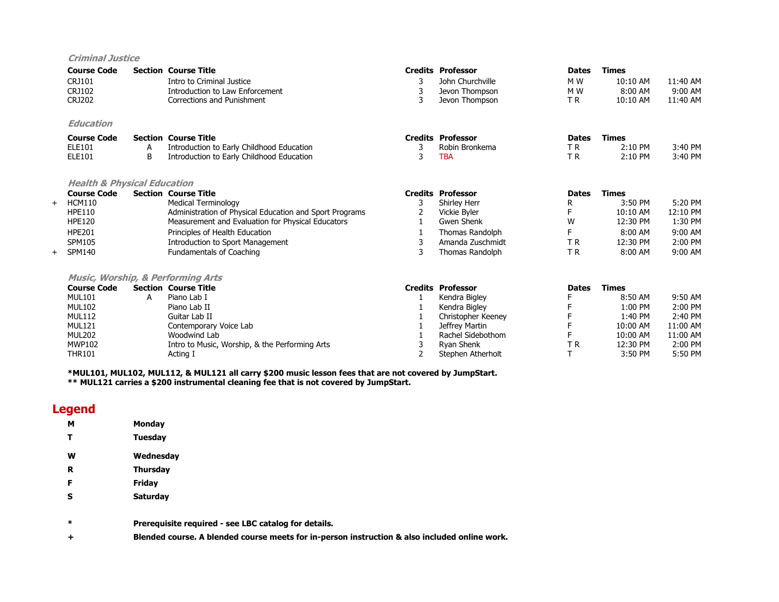#### Criminal Justice

|     | <b>Course Code</b>                           |   | <b>Section Course Title</b>                             |                | <b>Credits Professor</b> | <b>Dates</b> | Times        |          |
|-----|----------------------------------------------|---|---------------------------------------------------------|----------------|--------------------------|--------------|--------------|----------|
|     | CRJ101                                       |   | Intro to Criminal Justice                               | 3              | John Churchville         | M W          | 10:10 AM     | 11:40 AM |
|     | CRJ102                                       |   | Introduction to Law Enforcement                         |                | Jevon Thompson           | M W          | 8:00 AM      | 9:00 AM  |
|     | <b>CRJ202</b>                                |   | Corrections and Punishment                              | 3              | Jevon Thompson           | ΤR           | $10:10$ AM   | 11:40 AM |
|     | Education                                    |   |                                                         |                |                          |              |              |          |
|     | <b>Course Code</b>                           |   | <b>Section Course Title</b>                             |                | <b>Credits Professor</b> | <b>Dates</b> | <b>Times</b> |          |
|     | ELE101                                       | А | Introduction to Early Childhood Education               | 3              | Robin Bronkema           | T R          | $2:10$ PM    | 3:40 PM  |
|     | ELE101                                       | B | Introduction to Early Childhood Education               | 3              | TBA                      | T R          | 2:10 PM      | 3:40 PM  |
|     | <b>Health &amp; Physical Education</b>       |   |                                                         |                |                          |              |              |          |
|     | <b>Course Code</b>                           |   | <b>Section Course Title</b>                             | <b>Credits</b> | <b>Professor</b>         | <b>Dates</b> | <b>Times</b> |          |
| $+$ | <b>HCM110</b>                                |   | Medical Terminology                                     |                | Shirley Herr             | R            | 3:50 PM      | 5:20 PM  |
|     | <b>HPE110</b>                                |   | Administration of Physical Education and Sport Programs |                | Vickie Byler             |              | $10:10$ AM   | 12:10 PM |
|     | <b>HPE120</b>                                |   | Measurement and Evaluation for Physical Educators       |                | Gwen Shenk               | W            | 12:30 PM     | 1:30 PM  |
|     | <b>HPE201</b>                                |   | Principles of Health Education                          |                | Thomas Randolph          | F            | 8:00 AM      | 9:00 AM  |
|     | <b>SPM105</b>                                |   | Introduction to Sport Management                        | 3              | Amanda Zuschmidt         | ΤR           | 12:30 PM     | 2:00 PM  |
| $+$ | <b>SPM140</b>                                |   | Fundamentals of Coaching                                | 3              | Thomas Randolph          | ΤR           | 8:00 AM      | 9:00 AM  |
|     |                                              |   |                                                         |                |                          |              |              |          |
|     | <b>Music, Worship, &amp; Performing Arts</b> |   |                                                         |                |                          |              |              |          |

| <b>Course Code</b> | <b>Section Course Title</b>                    | <b>Credits Professor</b> | <b>Dates</b> | <b>Times</b> |          |
|--------------------|------------------------------------------------|--------------------------|--------------|--------------|----------|
| MUL101             | Piano Lab I                                    | Kendra Bigley            |              | 8:50 AM      | 9:50 AM  |
| <b>MUL102</b>      | Piano Lab II                                   | Kendra Bigley            |              | 1:00 PM      | 2:00 PM  |
| <b>MUL112</b>      | Guitar Lab II                                  | Christopher Keeney       |              | 1:40 PM      | 2:40 PM  |
| <b>MUL121</b>      | Contemporary Voice Lab                         | Jeffrev Martin           |              | 10:00 AM     | 11:00 AM |
| <b>MUL202</b>      | Woodwind Lab                                   | Rachel Sidebothom        |              | 10:00 AM     | 11:00 AM |
| <b>MWP102</b>      | Intro to Music, Worship, & the Performing Arts | Rvan Shenk               | ТR           | 12:30 PM     | 2:00 PM  |
| <b>THR101</b>      | Acting I                                       | Stephen Atherholt        |              | 3:50 PM      | 5:50 PM  |

\*MUL101, MUL102, MUL112, & MUL121 all carry \$200 music lesson fees that are not covered by JumpStart. \*\* MUL121 carries a \$200 instrumental cleaning fee that is not covered by JumpStart.

### Legend

| м | Monday          |
|---|-----------------|
| т | <b>Tuesday</b>  |
| w | Wednesday       |
| R | <b>Thursday</b> |
| F | Friday          |
| s | <b>Saturday</b> |
|   |                 |
|   |                 |

\* Prerequisite required - see LBC catalog for details.

+ Blended course. A blended course meets for in-person instruction & also included online work.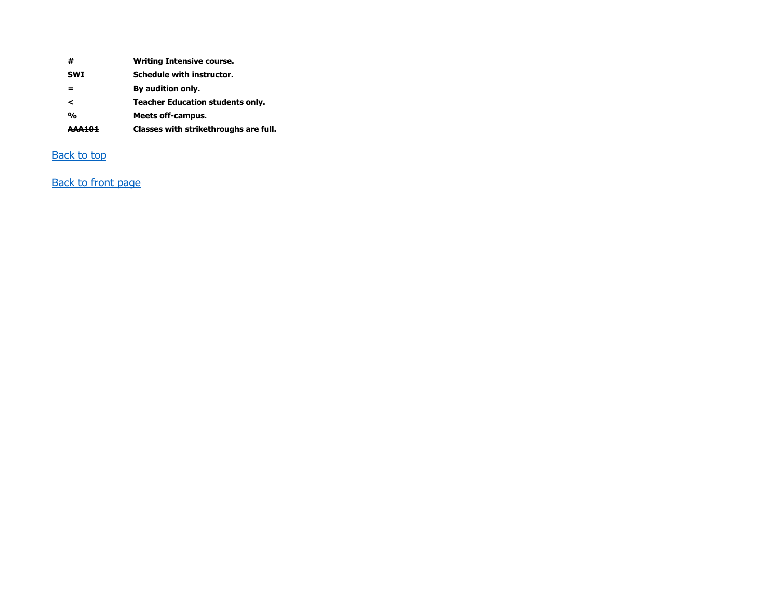| #              | <b>Writing Intensive course.</b>        |
|----------------|-----------------------------------------|
| <b>SWI</b>     | Schedule with instructor.               |
|                | By audition only.                       |
| ≺              | <b>Teacher Education students only.</b> |
| $\mathbf{O}_0$ | <b>Meets off-campus.</b>                |
| <b>AAA101</b>  | Classes with strikethroughs are full.   |

### **Back to top**

## Back to front page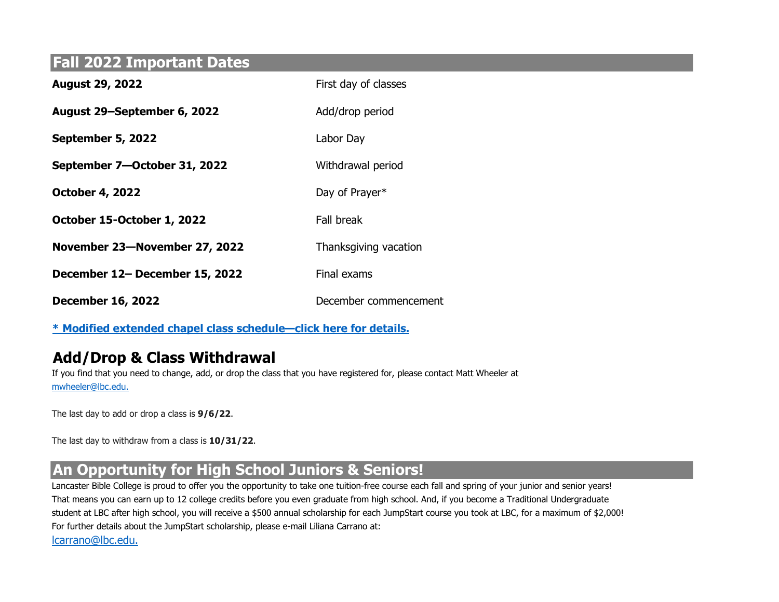## Fall 2022 Important Dates

| <b>August 29, 2022</b>         | First day of classes  |
|--------------------------------|-----------------------|
| August 29-September 6, 2022    | Add/drop period       |
| September 5, 2022              | Labor Day             |
| September 7-October 31, 2022   | Withdrawal period     |
| <b>October 4, 2022</b>         | Day of Prayer*        |
| October 15-October 1, 2022     | Fall break            |
| November 23-November 27, 2022  | Thanksgiving vacation |
| December 12- December 15, 2022 | Final exams           |
| <b>December 16, 2022</b>       | December commencement |

\* Modified extended chapel class schedule—click here for details.

## Add/Drop & Class Withdrawal

If you find that you need to change, add, or drop the class that you have registered for, please contact Matt Wheeler at mwheeler@lbc.edu.

The last day to add or drop a class is **9/6/22**.

The last day to withdraw from a class is 10/31/22.

## An Opportunity for High School Juniors & Seniors!

Lancaster Bible College is proud to offer you the opportunity to take one tuition-free course each fall and spring of your junior and senior years! That means you can earn up to 12 college credits before you even graduate from high school. And, if you become a Traditional Undergraduate student at LBC after high school, you will receive a \$500 annual scholarship for each JumpStart course you took at LBC, for a maximum of \$2,000! For further details about the JumpStart scholarship, please e-mail Liliana Carrano at: lcarrano@lbc.edu.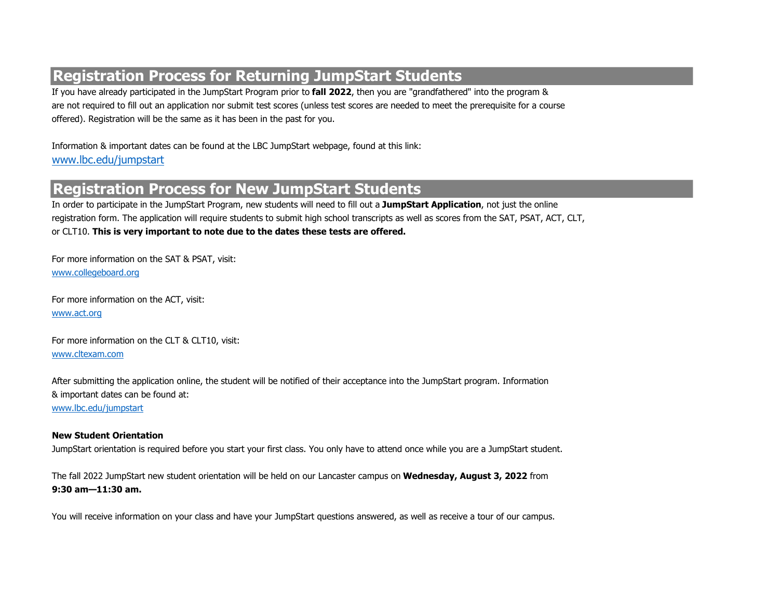## Registration Process for Returning JumpStart Students

If you have already participated in the JumpStart Program prior to **fall 2022**, then you are "grandfathered" into the program & are not required to fill out an application nor submit test scores (unless test scores are needed to meet the prerequisite for a course offered). Registration will be the same as it has been in the past for you.

Information & important dates can be found at the LBC JumpStart webpage, found at this link: www.lbc.edu/jumpstart

## Registration Process for New JumpStart Students

In order to participate in the JumpStart Program, new students will need to fill out a JumpStart Application, not just the online registration form. The application will require students to submit high school transcripts as well as scores from the SAT, PSAT, ACT, CLT, or CLT10. This is very important to note due to the dates these tests are offered.

For more information on the SAT & PSAT, visit: www.collegeboard.org

For more information on the ACT, visit: www.act.org

For more information on the CLT & CLT10, visit: www.cltexam.com

After submitting the application online, the student will be notified of their acceptance into the JumpStart program. Information & important dates can be found at: www.lbc.edu/jumpstart

### New Student Orientation

JumpStart orientation is required before you start your first class. You only have to attend once while you are a JumpStart student.

The fall 2022 JumpStart new student orientation will be held on our Lancaster campus on Wednesday, August 3, 2022 from 9:30 am—11:30 am.

You will receive information on your class and have your JumpStart questions answered, as well as receive a tour of our campus.